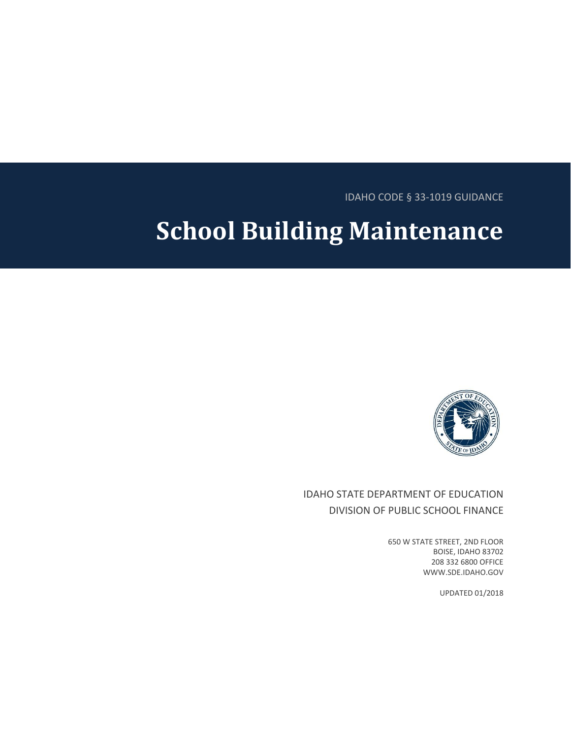IDAHO CODE § 33-1019 GUIDANCE

# **School Building Maintenance**



# IDAHO STATE DEPARTMENT OF EDUCATION DIVISION OF PUBLIC SCHOOL FINANCE

650 W STATE STREET, 2ND FLOOR BOISE, IDAHO 83702 208 332 6800 OFFICE WWW.SDE.IDAHO.GOV

UPDATED 01/2018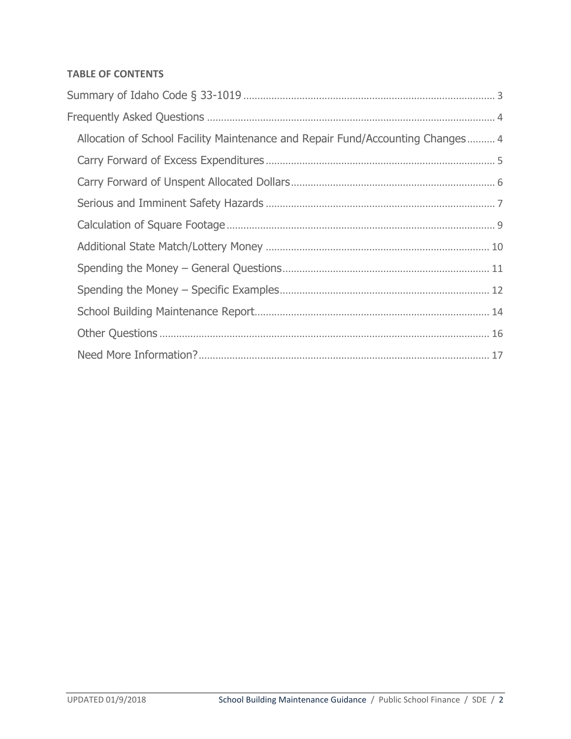## **TABLE OF CONTENTS**

| Allocation of School Facility Maintenance and Repair Fund/Accounting Changes 4 |  |  |
|--------------------------------------------------------------------------------|--|--|
|                                                                                |  |  |
|                                                                                |  |  |
|                                                                                |  |  |
|                                                                                |  |  |
|                                                                                |  |  |
|                                                                                |  |  |
|                                                                                |  |  |
|                                                                                |  |  |
|                                                                                |  |  |
|                                                                                |  |  |
|                                                                                |  |  |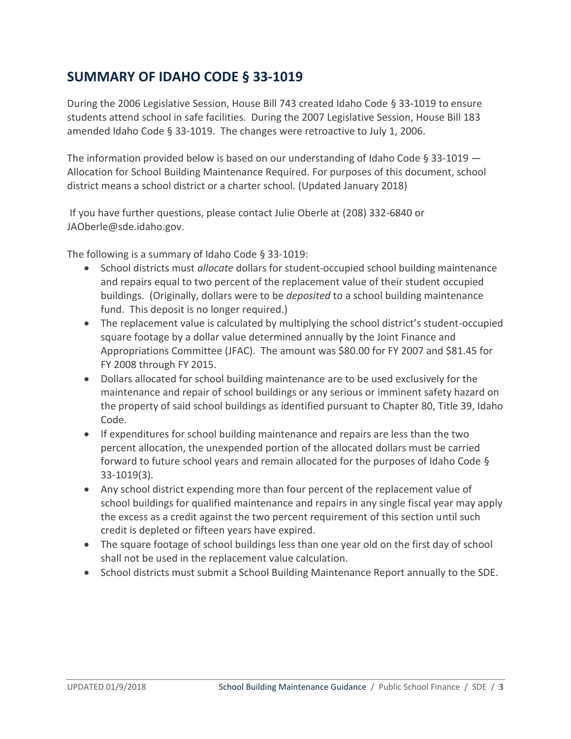# <span id="page-2-0"></span>**SUMMARY OF IDAHO CODE § 33-1019**

During the 2006 Legislative Session, House Bill 743 created Idaho Code § 33-1019 to ensure students attend school in safe facilities. During the 2007 Legislative Session, House Bill 183 amended Idaho Code § 33-1019. The changes were retroactive to July 1, 2006.

The information provided below is based on our understanding of Idaho Code  $\S$  33-1019  $-$ Allocation for School Building Maintenance Required. For purposes of this document, school district means a school district or a charter school. (Updated January 2018)

If you have further questions, please contact Julie Oberle at (208) 332-6840 or [JAOberle@sde.idaho.gov.](mailto:JAOberle@sde.idaho.gov)

The following is a summary of Idaho Code § 33-1019:

- School districts must *allocate* dollars for student-occupied school building maintenance and repairs equal to two percent of the replacement value of their student occupied buildings. (Originally, dollars were to be *deposited* to a school building maintenance fund. This deposit is no longer required.)
- The replacement value is calculated by multiplying the school district's student-occupied square footage by a dollar value determined annually by the Joint Finance and Appropriations Committee (JFAC). The amount was \$80.00 for FY 2007 and \$81.45 for FY 2008 through FY 2015.
- Dollars allocated for school building maintenance are to be used exclusively for the maintenance and repair of school buildings or any serious or imminent safety hazard on the property of said school buildings as identified pursuant to Chapter 80, Title 39, Idaho Code.
- If expenditures for school building maintenance and repairs are less than the two percent allocation, the unexpended portion of the allocated dollars must be carried forward to future school years and remain allocated for the purposes of Idaho Code § 33-1019(3).
- Any school district expending more than four percent of the replacement value of school buildings for qualified maintenance and repairs in any single fiscal year may apply the excess as a credit against the two percent requirement of this section until such credit is depleted or fifteen years have expired.
- The square footage of school buildings less than one year old on the first day of school shall not be used in the replacement value calculation.
- School districts must submit a School Building Maintenance Report annually to the SDE.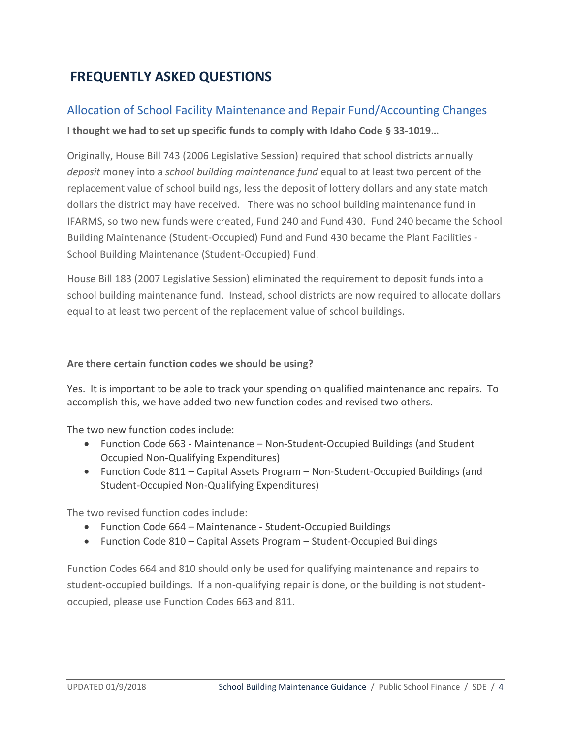# <span id="page-3-0"></span>**FREQUENTLY ASKED QUESTIONS**

# <span id="page-3-1"></span>Allocation of School Facility Maintenance and Repair Fund/Accounting Changes **I thought we had to set up specific funds to comply with Idaho Code § 33-1019…**

Originally, House Bill 743 (2006 Legislative Session) required that school districts annually *deposit* money into a *school building maintenance fund* equal to at least two percent of the replacement value of school buildings, less the deposit of lottery dollars and any state match dollars the district may have received. There was no school building maintenance fund in IFARMS, so two new funds were created, Fund 240 and Fund 430. Fund 240 became the School Building Maintenance (Student-Occupied) Fund and Fund 430 became the Plant Facilities - School Building Maintenance (Student-Occupied) Fund.

House Bill 183 (2007 Legislative Session) eliminated the requirement to deposit funds into a school building maintenance fund. Instead, school districts are now required to allocate dollars equal to at least two percent of the replacement value of school buildings.

#### **Are there certain function codes we should be using?**

Yes. It is important to be able to track your spending on qualified maintenance and repairs. To accomplish this, we have added two new function codes and revised two others.

The two new function codes include:

- Function Code 663 Maintenance Non-Student-Occupied Buildings (and Student Occupied Non-Qualifying Expenditures)
- Function Code 811 Capital Assets Program Non-Student-Occupied Buildings (and Student-Occupied Non-Qualifying Expenditures)

The two revised function codes include:

- Function Code 664 Maintenance Student-Occupied Buildings
- Function Code 810 Capital Assets Program Student-Occupied Buildings

Function Codes 664 and 810 should only be used for qualifying maintenance and repairs to student-occupied buildings. If a non-qualifying repair is done, or the building is not studentoccupied, please use Function Codes 663 and 811.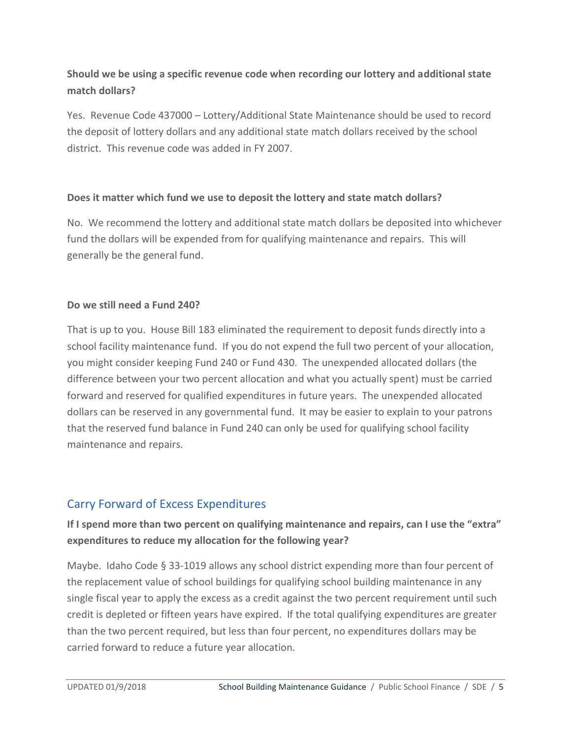# **Should we be using a specific revenue code when recording our lottery and additional state match dollars?**

Yes. Revenue Code 437000 – Lottery/Additional State Maintenance should be used to record the deposit of lottery dollars and any additional state match dollars received by the school district. This revenue code was added in FY 2007.

## **Does it matter which fund we use to deposit the lottery and state match dollars?**

No. We recommend the lottery and additional state match dollars be deposited into whichever fund the dollars will be expended from for qualifying maintenance and repairs. This will generally be the general fund.

## **Do we still need a Fund 240?**

That is up to you. House Bill 183 eliminated the requirement to deposit funds directly into a school facility maintenance fund. If you do not expend the full two percent of your allocation, you might consider keeping Fund 240 or Fund 430. The unexpended allocated dollars (the difference between your two percent allocation and what you actually spent) must be carried forward and reserved for qualified expenditures in future years. The unexpended allocated dollars can be reserved in any governmental fund. It may be easier to explain to your patrons that the reserved fund balance in Fund 240 can only be used for qualifying school facility maintenance and repairs.

# <span id="page-4-0"></span>Carry Forward of Excess Expenditures

# **If I spend more than two percent on qualifying maintenance and repairs, can I use the "extra" expenditures to reduce my allocation for the following year?**

Maybe. Idaho Code § 33-1019 allows any school district expending more than four percent of the replacement value of school buildings for qualifying school building maintenance in any single fiscal year to apply the excess as a credit against the two percent requirement until such credit is depleted or fifteen years have expired. If the total qualifying expenditures are greater than the two percent required, but less than four percent, no expenditures dollars may be carried forward to reduce a future year allocation.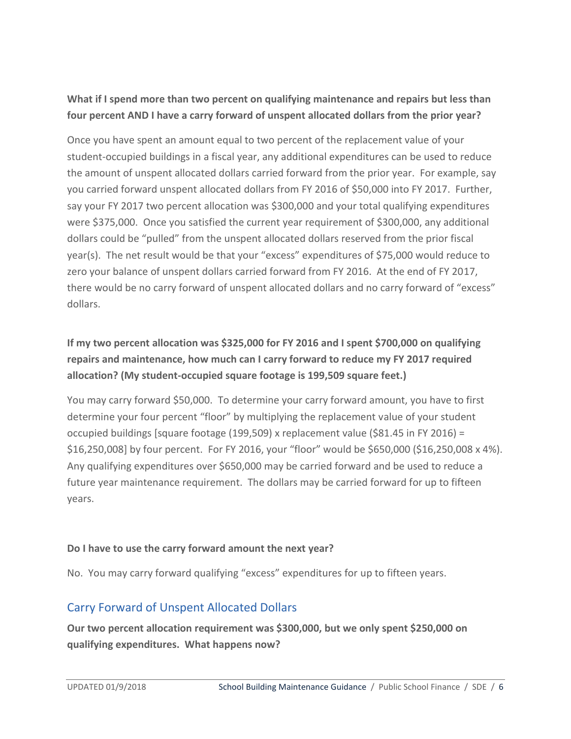## **What if I spend more than two percent on qualifying maintenance and repairs but less than four percent AND I have a carry forward of unspent allocated dollars from the prior year?**

Once you have spent an amount equal to two percent of the replacement value of your student-occupied buildings in a fiscal year, any additional expenditures can be used to reduce the amount of unspent allocated dollars carried forward from the prior year. For example, say you carried forward unspent allocated dollars from FY 2016 of \$50,000 into FY 2017. Further, say your FY 2017 two percent allocation was \$300,000 and your total qualifying expenditures were \$375,000. Once you satisfied the current year requirement of \$300,000, any additional dollars could be "pulled" from the unspent allocated dollars reserved from the prior fiscal year(s). The net result would be that your "excess" expenditures of \$75,000 would reduce to zero your balance of unspent dollars carried forward from FY 2016. At the end of FY 2017, there would be no carry forward of unspent allocated dollars and no carry forward of "excess" dollars.

# **If my two percent allocation was \$325,000 for FY 2016 and I spent \$700,000 on qualifying repairs and maintenance, how much can I carry forward to reduce my FY 2017 required allocation? (My student-occupied square footage is 199,509 square feet.)**

You may carry forward \$50,000. To determine your carry forward amount, you have to first determine your four percent "floor" by multiplying the replacement value of your student occupied buildings [square footage (199,509) x replacement value (\$81.45 in FY 2016) = \$16,250,008] by four percent. For FY 2016, your "floor" would be \$650,000 (\$16,250,008 x 4%). Any qualifying expenditures over \$650,000 may be carried forward and be used to reduce a future year maintenance requirement. The dollars may be carried forward for up to fifteen years.

## **Do I have to use the carry forward amount the next year?**

No. You may carry forward qualifying "excess" expenditures for up to fifteen years.

# <span id="page-5-0"></span>Carry Forward of Unspent Allocated Dollars

**Our two percent allocation requirement was \$300,000, but we only spent \$250,000 on qualifying expenditures. What happens now?**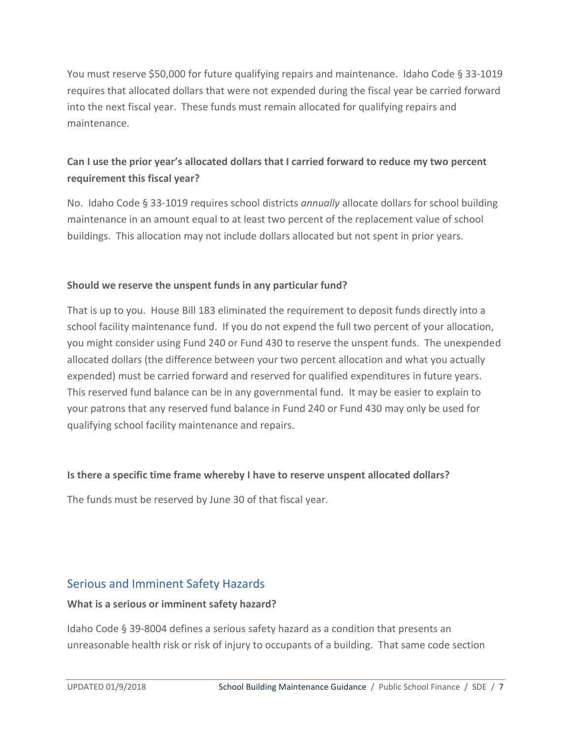You must reserve \$50,000 for future qualifying repairs and maintenance. Idaho Code § 33-1019 requires that allocated dollars that were not expended during the fiscal year be carried forward into the next fiscal year. These funds must remain allocated for qualifying repairs and maintenance.

# **Can I use the prior year's allocated dollars that I carried forward to reduce my two percent requirement this fiscal year?**

No. Idaho Code § 33-1019 requires school districts *annually* allocate dollars for school building maintenance in an amount equal to at least two percent of the replacement value of school buildings. This allocation may not include dollars allocated but not spent in prior years.

## **Should we reserve the unspent funds in any particular fund?**

That is up to you. House Bill 183 eliminated the requirement to deposit funds directly into a school facility maintenance fund. If you do not expend the full two percent of your allocation, you might consider using Fund 240 or Fund 430 to reserve the unspent funds. The unexpended allocated dollars (the difference between your two percent allocation and what you actually expended) must be carried forward and reserved for qualified expenditures in future years. This reserved fund balance can be in any governmental fund. It may be easier to explain to your patrons that any reserved fund balance in Fund 240 or Fund 430 may only be used for qualifying school facility maintenance and repairs.

## **Is there a specific time frame whereby I have to reserve unspent allocated dollars?**

The funds must be reserved by June 30 of that fiscal year.

# <span id="page-6-0"></span>Serious and Imminent Safety Hazards

#### **What is a serious or imminent safety hazard?**

Idaho Code § 39-8004 defines a serious safety hazard as a condition that presents an unreasonable health risk or risk of injury to occupants of a building. That same code section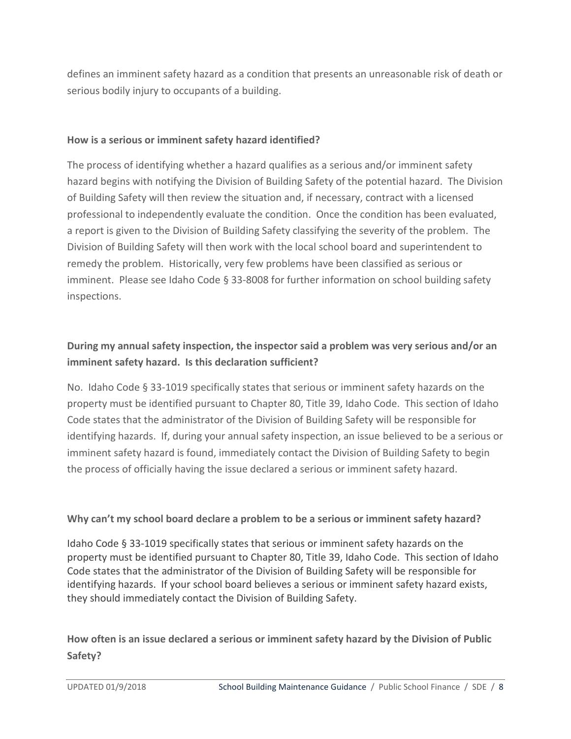defines an imminent safety hazard as a condition that presents an unreasonable risk of death or serious bodily injury to occupants of a building.

#### **How is a serious or imminent safety hazard identified?**

The process of identifying whether a hazard qualifies as a serious and/or imminent safety hazard begins with notifying the Division of Building Safety of the potential hazard. The Division of Building Safety will then review the situation and, if necessary, contract with a licensed professional to independently evaluate the condition. Once the condition has been evaluated, a report is given to the Division of Building Safety classifying the severity of the problem. The Division of Building Safety will then work with the local school board and superintendent to remedy the problem. Historically, very few problems have been classified as serious or imminent. Please see Idaho Code § 33-8008 for further information on school building safety inspections.

# **During my annual safety inspection, the inspector said a problem was very serious and/or an imminent safety hazard. Is this declaration sufficient?**

No. Idaho Code § 33-1019 specifically states that serious or imminent safety hazards on the property must be identified pursuant to Chapter 80, Title 39, Idaho Code. This section of Idaho Code states that the administrator of the Division of Building Safety will be responsible for identifying hazards. If, during your annual safety inspection, an issue believed to be a serious or imminent safety hazard is found, immediately contact the Division of Building Safety to begin the process of officially having the issue declared a serious or imminent safety hazard.

## **Why can't my school board declare a problem to be a serious or imminent safety hazard?**

Idaho Code § 33-1019 specifically states that serious or imminent safety hazards on the property must be identified pursuant to Chapter 80, Title 39, Idaho Code. This section of Idaho Code states that the administrator of the Division of Building Safety will be responsible for identifying hazards. If your school board believes a serious or imminent safety hazard exists, they should immediately contact the Division of Building Safety.

## **How often is an issue declared a serious or imminent safety hazard by the Division of Public Safety?**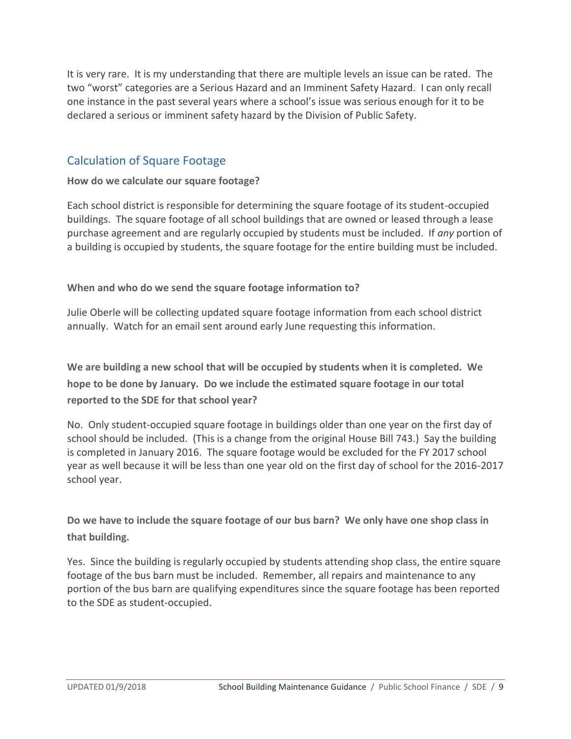It is very rare. It is my understanding that there are multiple levels an issue can be rated. The two "worst" categories are a Serious Hazard and an Imminent Safety Hazard. I can only recall one instance in the past several years where a school's issue was serious enough for it to be declared a serious or imminent safety hazard by the Division of Public Safety.

# <span id="page-8-0"></span>Calculation of Square Footage

#### **How do we calculate our square footage?**

Each school district is responsible for determining the square footage of its student-occupied buildings. The square footage of all school buildings that are owned or leased through a lease purchase agreement and are regularly occupied by students must be included. If *any* portion of a building is occupied by students, the square footage for the entire building must be included.

**When and who do we send the square footage information to?**

Julie Oberle will be collecting updated square footage information from each school district annually. Watch for an email sent around early June requesting this information.

**We are building a new school that will be occupied by students when it is completed. We hope to be done by January. Do we include the estimated square footage in our total reported to the SDE for that school year?** 

No. Only student-occupied square footage in buildings older than one year on the first day of school should be included. (This is a change from the original House Bill 743.) Say the building is completed in January 2016. The square footage would be excluded for the FY 2017 school year as well because it will be less than one year old on the first day of school for the 2016-2017 school year.

**Do we have to include the square footage of our bus barn? We only have one shop class in that building.** 

Yes. Since the building is regularly occupied by students attending shop class, the entire square footage of the bus barn must be included. Remember, all repairs and maintenance to any portion of the bus barn are qualifying expenditures since the square footage has been reported to the SDE as student-occupied.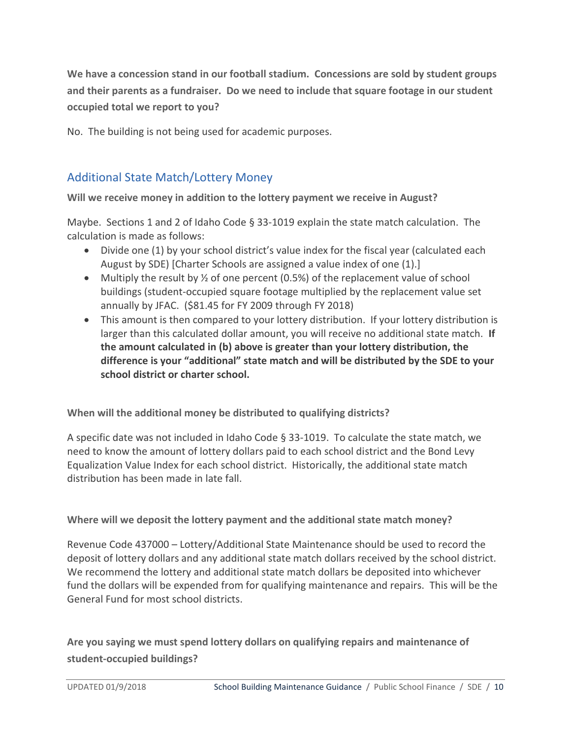**We have a concession stand in our football stadium. Concessions are sold by student groups and their parents as a fundraiser. Do we need to include that square footage in our student occupied total we report to you?**

No. The building is not being used for academic purposes.

# <span id="page-9-0"></span>Additional State Match/Lottery Money

**Will we receive money in addition to the lottery payment we receive in August?** 

Maybe. Sections 1 and 2 of Idaho Code § 33-1019 explain the state match calculation. The calculation is made as follows:

- Divide one (1) by your school district's value index for the fiscal year (calculated each August by SDE) [Charter Schools are assigned a value index of one (1).]
- Multiply the result by  $\frac{1}{2}$  of one percent (0.5%) of the replacement value of school buildings (student-occupied square footage multiplied by the replacement value set annually by JFAC. (\$81.45 for FY 2009 through FY 2018)
- This amount is then compared to your lottery distribution. If your lottery distribution is larger than this calculated dollar amount, you will receive no additional state match. **If the amount calculated in (b) above is greater than your lottery distribution, the difference is your "additional" state match and will be distributed by the SDE to your school district or charter school.**

**When will the additional money be distributed to qualifying districts?**

A specific date was not included in Idaho Code § 33-1019. To calculate the state match, we need to know the amount of lottery dollars paid to each school district and the Bond Levy Equalization Value Index for each school district. Historically, the additional state match distribution has been made in late fall.

#### **Where will we deposit the lottery payment and the additional state match money?**

Revenue Code 437000 – Lottery/Additional State Maintenance should be used to record the deposit of lottery dollars and any additional state match dollars received by the school district. We recommend the lottery and additional state match dollars be deposited into whichever fund the dollars will be expended from for qualifying maintenance and repairs. This will be the General Fund for most school districts.

**Are you saying we must spend lottery dollars on qualifying repairs and maintenance of student-occupied buildings?**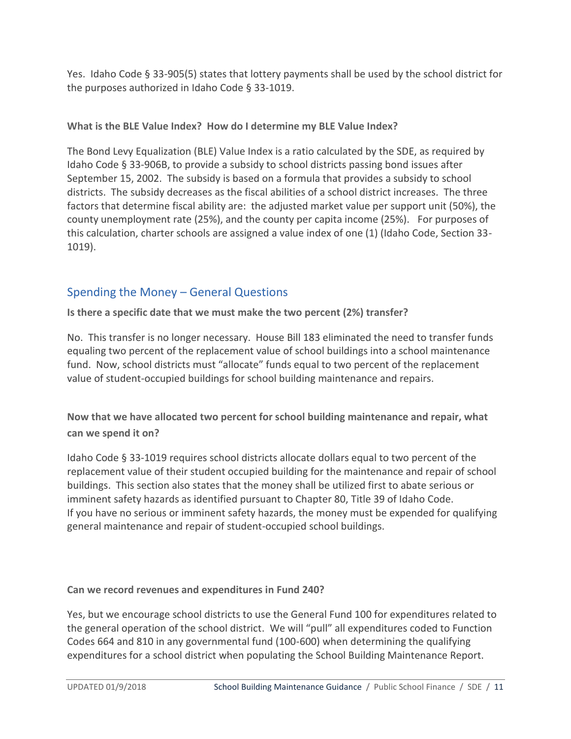Yes. Idaho Code § 33-905(5) states that lottery payments shall be used by the school district for the purposes authorized in Idaho Code § 33-1019.

## **What is the BLE Value Index? How do I determine my BLE Value Index?**

The Bond Levy Equalization (BLE) Value Index is a ratio calculated by the SDE, as required by Idaho Code § 33-906B, to provide a subsidy to school districts passing bond issues after September 15, 2002. The subsidy is based on a formula that provides a subsidy to school districts. The subsidy decreases as the fiscal abilities of a school district increases. The three factors that determine fiscal ability are: the adjusted market value per support unit (50%), the county unemployment rate (25%), and the county per capita income (25%). For purposes of this calculation, charter schools are assigned a value index of one (1) (Idaho Code, Section 33- 1019).

# <span id="page-10-0"></span>Spending the Money – General Questions

**Is there a specific date that we must make the two percent (2%) transfer?**

No. This transfer is no longer necessary. House Bill 183 eliminated the need to transfer funds equaling two percent of the replacement value of school buildings into a school maintenance fund. Now, school districts must "allocate" funds equal to two percent of the replacement value of student-occupied buildings for school building maintenance and repairs.

**Now that we have allocated two percent for school building maintenance and repair, what can we spend it on?**

Idaho Code § 33-1019 requires school districts allocate dollars equal to two percent of the replacement value of their student occupied building for the maintenance and repair of school buildings. This section also states that the money shall be utilized first to abate serious or imminent safety hazards as identified pursuant to Chapter 80, Title 39 of Idaho Code. If you have no serious or imminent safety hazards, the money must be expended for qualifying general maintenance and repair of student-occupied school buildings.

## **Can we record revenues and expenditures in Fund 240?**

Yes, but we encourage school districts to use the General Fund 100 for expenditures related to the general operation of the school district. We will "pull" all expenditures coded to Function Codes 664 and 810 in any governmental fund (100-600) when determining the qualifying expenditures for a school district when populating the School Building Maintenance Report.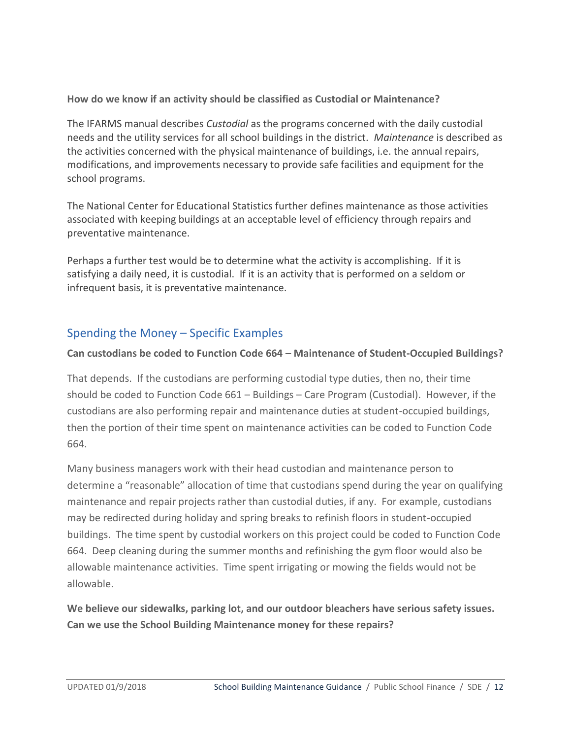## **How do we know if an activity should be classified as Custodial or Maintenance?**

The IFARMS manual describes *Custodial* as the programs concerned with the daily custodial needs and the utility services for all school buildings in the district. *Maintenance* is described as the activities concerned with the physical maintenance of buildings, i.e. the annual repairs, modifications, and improvements necessary to provide safe facilities and equipment for the school programs.

The National Center for Educational Statistics further defines maintenance as those activities associated with keeping buildings at an acceptable level of efficiency through repairs and preventative maintenance.

Perhaps a further test would be to determine what the activity is accomplishing. If it is satisfying a daily need, it is custodial. If it is an activity that is performed on a seldom or infrequent basis, it is preventative maintenance.

# <span id="page-11-0"></span>Spending the Money – Specific Examples

## **Can custodians be coded to Function Code 664 – Maintenance of Student-Occupied Buildings?**

That depends. If the custodians are performing custodial type duties, then no, their time should be coded to Function Code 661 – Buildings – Care Program (Custodial). However, if the custodians are also performing repair and maintenance duties at student-occupied buildings, then the portion of their time spent on maintenance activities can be coded to Function Code 664.

Many business managers work with their head custodian and maintenance person to determine a "reasonable" allocation of time that custodians spend during the year on qualifying maintenance and repair projects rather than custodial duties, if any. For example, custodians may be redirected during holiday and spring breaks to refinish floors in student-occupied buildings. The time spent by custodial workers on this project could be coded to Function Code 664. Deep cleaning during the summer months and refinishing the gym floor would also be allowable maintenance activities. Time spent irrigating or mowing the fields would not be allowable.

**We believe our sidewalks, parking lot, and our outdoor bleachers have serious safety issues. Can we use the School Building Maintenance money for these repairs?**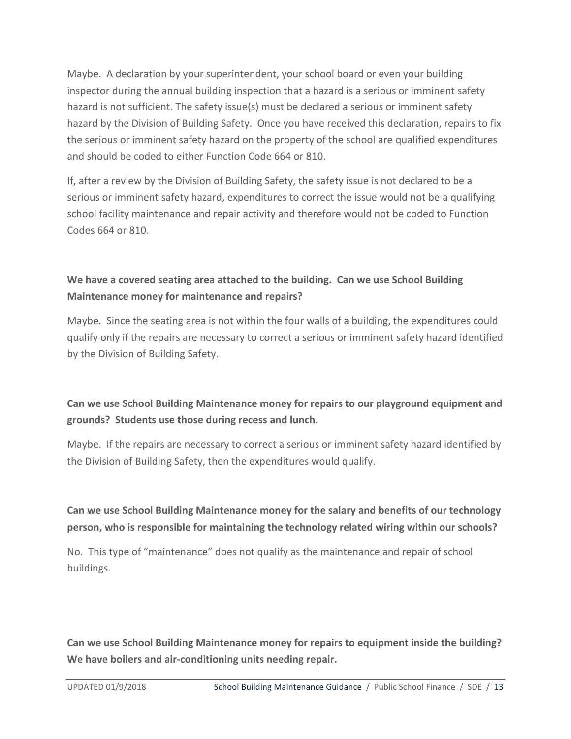Maybe. A declaration by your superintendent, your school board or even your building inspector during the annual building inspection that a hazard is a serious or imminent safety hazard is not sufficient. The safety issue(s) must be declared a serious or imminent safety hazard by the Division of Building Safety. Once you have received this declaration, repairs to fix the serious or imminent safety hazard on the property of the school are qualified expenditures and should be coded to either Function Code 664 or 810.

If, after a review by the Division of Building Safety, the safety issue is not declared to be a serious or imminent safety hazard, expenditures to correct the issue would not be a qualifying school facility maintenance and repair activity and therefore would not be coded to Function Codes 664 or 810.

# **We have a covered seating area attached to the building. Can we use School Building Maintenance money for maintenance and repairs?**

Maybe. Since the seating area is not within the four walls of a building, the expenditures could qualify only if the repairs are necessary to correct a serious or imminent safety hazard identified by the Division of Building Safety.

# **Can we use School Building Maintenance money for repairs to our playground equipment and grounds? Students use those during recess and lunch.**

Maybe. If the repairs are necessary to correct a serious or imminent safety hazard identified by the Division of Building Safety, then the expenditures would qualify.

# **Can we use School Building Maintenance money for the salary and benefits of our technology person, who is responsible for maintaining the technology related wiring within our schools?**

No. This type of "maintenance" does not qualify as the maintenance and repair of school buildings.

**Can we use School Building Maintenance money for repairs to equipment inside the building? We have boilers and air-conditioning units needing repair.**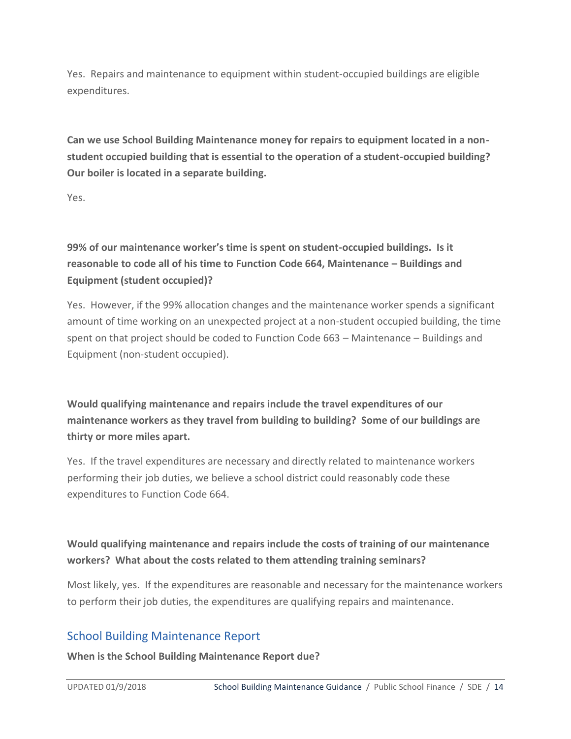Yes. Repairs and maintenance to equipment within student-occupied buildings are eligible expenditures.

**Can we use School Building Maintenance money for repairs to equipment located in a nonstudent occupied building that is essential to the operation of a student-occupied building? Our boiler is located in a separate building.** 

Yes.

**99% of our maintenance worker's time is spent on student-occupied buildings. Is it reasonable to code all of his time to Function Code 664, Maintenance – Buildings and Equipment (student occupied)?** 

Yes. However, if the 99% allocation changes and the maintenance worker spends a significant amount of time working on an unexpected project at a non-student occupied building, the time spent on that project should be coded to Function Code 663 – Maintenance – Buildings and Equipment (non-student occupied).

**Would qualifying maintenance and repairs include the travel expenditures of our maintenance workers as they travel from building to building? Some of our buildings are thirty or more miles apart.** 

Yes. If the travel expenditures are necessary and directly related to maintenance workers performing their job duties, we believe a school district could reasonably code these expenditures to Function Code 664.

# **Would qualifying maintenance and repairs include the costs of training of our maintenance workers? What about the costs related to them attending training seminars?**

Most likely, yes. If the expenditures are reasonable and necessary for the maintenance workers to perform their job duties, the expenditures are qualifying repairs and maintenance.

# <span id="page-13-0"></span>School Building Maintenance Report

**When is the School Building Maintenance Report due?**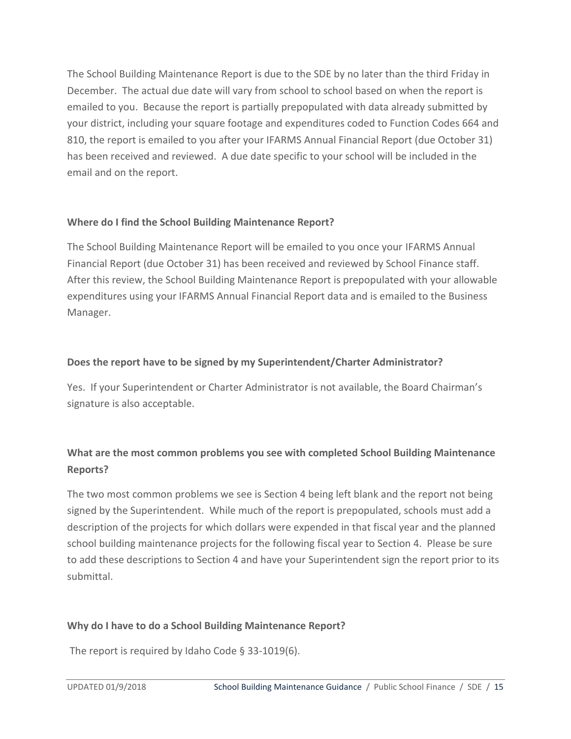The School Building Maintenance Report is due to the SDE by no later than the third Friday in December. The actual due date will vary from school to school based on when the report is emailed to you. Because the report is partially prepopulated with data already submitted by your district, including your square footage and expenditures coded to Function Codes 664 and 810, the report is emailed to you after your IFARMS Annual Financial Report (due October 31) has been received and reviewed. A due date specific to your school will be included in the email and on the report.

## **Where do I find the School Building Maintenance Report?**

The School Building Maintenance Report will be emailed to you once your IFARMS Annual Financial Report (due October 31) has been received and reviewed by School Finance staff. After this review, the School Building Maintenance Report is prepopulated with your allowable expenditures using your IFARMS Annual Financial Report data and is emailed to the Business Manager.

## **Does the report have to be signed by my Superintendent/Charter Administrator?**

Yes. If your Superintendent or Charter Administrator is not available, the Board Chairman's signature is also acceptable.

# **What are the most common problems you see with completed School Building Maintenance Reports?**

The two most common problems we see is Section 4 being left blank and the report not being signed by the Superintendent. While much of the report is prepopulated, schools must add a description of the projects for which dollars were expended in that fiscal year and the planned school building maintenance projects for the following fiscal year to Section 4. Please be sure to add these descriptions to Section 4 and have your Superintendent sign the report prior to its submittal.

## **Why do I have to do a School Building Maintenance Report?**

The report is required by Idaho Code § 33-1019(6).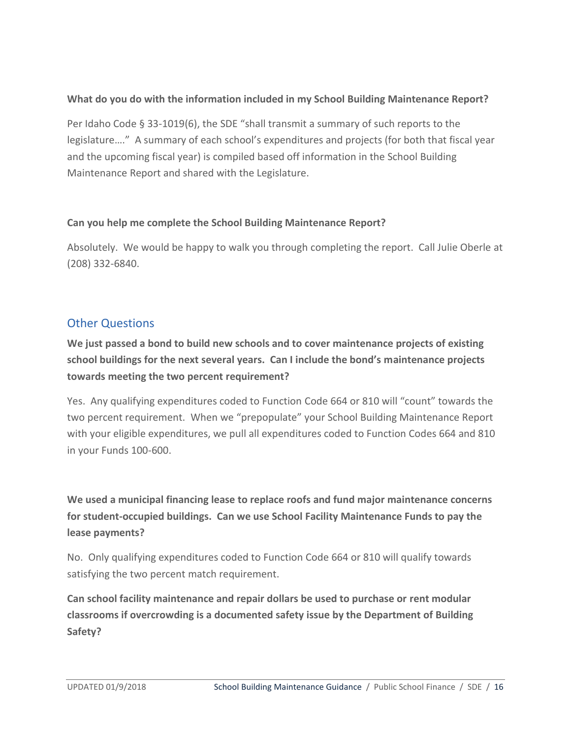## **What do you do with the information included in my School Building Maintenance Report?**

Per Idaho Code § 33-1019(6), the SDE "shall transmit a summary of such reports to the legislature…." A summary of each school's expenditures and projects (for both that fiscal year and the upcoming fiscal year) is compiled based off information in the School Building Maintenance Report and shared with the Legislature.

## **Can you help me complete the School Building Maintenance Report?**

Absolutely. We would be happy to walk you through completing the report. Call Julie Oberle at (208) 332-6840.

# <span id="page-15-0"></span>Other Questions

**We just passed a bond to build new schools and to cover maintenance projects of existing school buildings for the next several years. Can I include the bond's maintenance projects towards meeting the two percent requirement?** 

Yes. Any qualifying expenditures coded to Function Code 664 or 810 will "count" towards the two percent requirement. When we "prepopulate" your School Building Maintenance Report with your eligible expenditures, we pull all expenditures coded to Function Codes 664 and 810 in your Funds 100-600.

**We used a municipal financing lease to replace roofs and fund major maintenance concerns for student-occupied buildings. Can we use School Facility Maintenance Funds to pay the lease payments?**

No. Only qualifying expenditures coded to Function Code 664 or 810 will qualify towards satisfying the two percent match requirement.

**Can school facility maintenance and repair dollars be used to purchase or rent modular classrooms if overcrowding is a documented safety issue by the Department of Building Safety?**